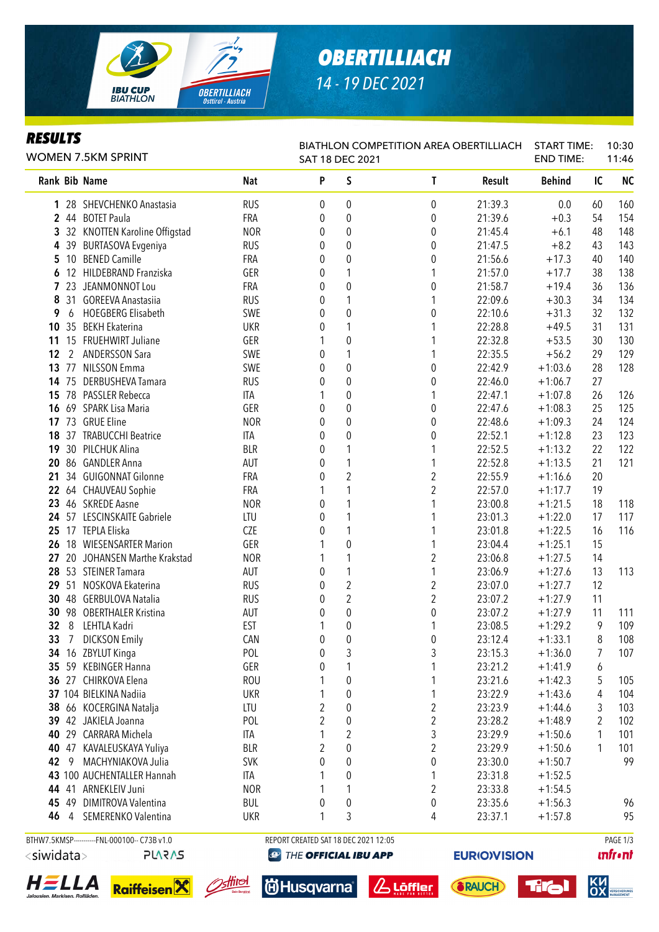

# *OBERTILLIACH 14 - 19 DEC 2021*

### *RESULTS*

| <b>WOMEN 7.5KM SPRINT</b> |             |                                              |            | BIATHLON COMPETITION AREA OBERTILLIACH<br>SAT 18 DEC 2021 |                  |                         |         | <b>START TIME:</b><br><b>END TIME:</b> |    | 10:30<br>11:46 |  |
|---------------------------|-------------|----------------------------------------------|------------|-----------------------------------------------------------|------------------|-------------------------|---------|----------------------------------------|----|----------------|--|
|                           |             | Rank Bib Name                                | <b>Nat</b> | P                                                         | S                | $\mathsf{T}$            | Result  | <b>Behind</b>                          | IC | <b>NC</b>      |  |
|                           |             | 1 28 SHEVCHENKO Anastasia                    | <b>RUS</b> | 0                                                         | 0                | 0                       | 21:39.3 | 0.0                                    | 60 | 160            |  |
|                           |             | 2 44 BOTET Paula                             | FRA        | 0                                                         | $\boldsymbol{0}$ | $\pmb{0}$               | 21:39.6 | $+0.3$                                 | 54 | 154            |  |
| 3                         |             | 32 KNOTTEN Karoline Offigstad                | <b>NOR</b> | 0                                                         | 0                | 0                       | 21:45.4 | $+6.1$                                 | 48 | 148            |  |
| 4                         |             | 39 BURTASOVA Evgeniya                        | <b>RUS</b> | 0                                                         | 0                | 0                       | 21:47.5 | $+8.2$                                 | 43 | 143            |  |
| 5.                        |             | 10 BENED Camille                             | FRA        | 0                                                         | 0                | 0                       | 21:56.6 | $+17.3$                                | 40 | 140            |  |
| 6                         |             | 12 HILDEBRAND Franziska                      | GER        | 0                                                         | 1                | 1                       | 21:57.0 | $+17.7$                                | 38 | 138            |  |
| 7                         |             | 23 JEANMONNOT Lou                            | FRA        | 0                                                         | $\boldsymbol{0}$ | $\pmb{0}$               | 21:58.7 | $+19.4$                                | 36 | 136            |  |
| 8                         |             | 31 GOREEVA Anastasiia                        | <b>RUS</b> | 0                                                         | 1                | 1                       | 22:09.6 | $+30.3$                                | 34 | 134            |  |
| 9                         | 6           | <b>HOEGBERG Elisabeth</b>                    | SWE        | 0                                                         | $\boldsymbol{0}$ | $\pmb{0}$               | 22:10.6 | $+31.3$                                | 32 | 132            |  |
| 10                        |             | 35 BEKH Ekaterina                            | <b>UKR</b> | 0                                                         | 1                |                         | 22:28.8 | $+49.5$                                | 31 | 131            |  |
| 11                        |             | 15 FRUEHWIRT Juliane                         | GER        |                                                           | $\boldsymbol{0}$ |                         | 22:32.8 | $+53.5$                                | 30 | 130            |  |
| 12                        | $2^{\circ}$ | <b>ANDERSSON Sara</b>                        | SWE        | 0                                                         | $\mathbf{1}$     |                         | 22:35.5 | $+56.2$                                | 29 | 129            |  |
| 13                        |             | 77 NILSSON Emma                              | SWE        | 0                                                         | $\boldsymbol{0}$ | $\pmb{0}$               | 22:42.9 | $+1:03.6$                              | 28 | 128            |  |
|                           |             | 14 75 DERBUSHEVA Tamara                      | <b>RUS</b> | 0                                                         | $\mathbf 0$      | $\pmb{0}$               | 22:46.0 | $+1:06.7$                              | 27 |                |  |
| 15                        |             | 78 PASSLER Rebecca                           | ITA        |                                                           | $\mathbf 0$      | 1                       | 22:47.1 | $+1:07.8$                              | 26 | 126            |  |
| 16                        |             | 69 SPARK Lisa Maria                          | GER        | 0                                                         | $\mathbf 0$      | $\pmb{0}$               | 22:47.6 | $+1:08.3$                              | 25 | 125            |  |
|                           |             | 17 73 GRUE Eline                             | <b>NOR</b> | 0                                                         | 0                | 0                       | 22:48.6 | $+1:09.3$                              | 24 | 124            |  |
| 18                        |             | 37 TRABUCCHI Beatrice                        | ITA        | 0                                                         | $\mathbf 0$      | 0                       | 22:52.1 | $+1:12.8$                              | 23 | 123            |  |
| 19                        |             | 30 PILCHUK Alina                             | <b>BLR</b> | 0                                                         | 1                | 1                       | 22:52.5 | $+1:13.2$                              | 22 | 122            |  |
| 20                        |             | 86 GANDLER Anna                              | AUT        | 0                                                         | 1                | 1                       | 22:52.8 | $+1:13.5$                              | 21 | 121            |  |
|                           |             | 21 34 GUIGONNAT Gilonne                      | <b>FRA</b> | 0                                                         | $\overline{2}$   | 2                       | 22:55.9 | $+1:16.6$                              | 20 |                |  |
|                           |             | 22 64 CHAUVEAU Sophie                        | <b>FRA</b> |                                                           | 1                | $\overline{2}$          | 22:57.0 | $+1:17.7$                              | 19 |                |  |
|                           |             | 23 46 SKREDE Aasne                           | <b>NOR</b> | 0                                                         | 1                | 1                       | 23:00.8 | $+1:21.5$                              | 18 | 118            |  |
|                           |             | 24 57 LESCINSKAITE Gabriele                  | LTU        | 0                                                         | 1                |                         | 23:01.3 | $+1:22.0$                              | 17 | 117            |  |
| 25                        |             | 17 TEPLA Eliska                              | CZE        | 0                                                         | 1                |                         | 23:01.8 | $+1:22.5$                              | 16 | 116            |  |
| 26                        |             | 18 WIESENSARTER Marion                       | GER        |                                                           | $\mathbf 0$      | 1                       | 23:04.4 | $+1:25.1$                              | 15 |                |  |
| 27                        |             | 20 JOHANSEN Marthe Krakstad                  | <b>NOR</b> |                                                           | 1                | $\boldsymbol{2}$        | 23:06.8 | $+1:27.5$                              | 14 |                |  |
| 28                        |             | 53 STEINER Tamara                            | AUT        | 0                                                         | $\mathbf{1}$     | 1                       | 23:06.9 | $+1:27.6$                              | 13 | 113            |  |
| 29                        |             | 51 NOSKOVA Ekaterina                         | <b>RUS</b> | 0                                                         | $\overline{2}$   | $\boldsymbol{2}$        | 23:07.0 | $+1:27.7$                              | 12 |                |  |
| 30                        |             | 48 GERBULOVA Natalia                         | <b>RUS</b> | 0                                                         | $\overline{2}$   | $\overline{2}$          | 23:07.2 | $+1:27.9$                              | 11 |                |  |
| 30                        |             | 98 OBERTHALER Kristina                       | AUT        | 0                                                         | $\boldsymbol{0}$ | $\pmb{0}$               | 23:07.2 | $+1:27.9$                              | 11 | 111            |  |
| 32                        |             | 8 LEHTLA Kadri                               | <b>EST</b> |                                                           | $\pmb{0}$        | 1                       | 23:08.5 | $+1:29.2$                              | 9  | 109            |  |
| 33 <sup>2</sup>           |             |                                              | CAN        |                                                           |                  | $\boldsymbol{0}$        | 23:12.4 | $+1:33.1$                              | 8  | 108            |  |
|                           |             | 7 DICKSON Emily                              |            | 0                                                         | $\boldsymbol{0}$ |                         |         |                                        |    |                |  |
|                           |             | 34 16 ZBYLUT Kinga                           | POL        | 0                                                         | 3<br>1           | 3<br>1                  | 23:15.3 | $+1:36.0$                              | 7  | 107            |  |
| 35                        |             | 59 KEBINGER Hanna                            | GER        | 0                                                         |                  |                         | 23:21.2 | $+1:41.9$                              | 6  |                |  |
|                           |             | 36 27 CHIRKOVA Elena                         | <b>ROU</b> |                                                           | $\boldsymbol{0}$ | 1                       | 23:21.6 | $+1:42.3$                              | 5  | 105            |  |
|                           |             | 37 104 BIELKINA Nadiia                       | <b>UKR</b> |                                                           | 0                | 1                       | 23:22.9 | $+1:43.6$                              | 4  | 104            |  |
| 38                        |             | 66 KOCERGINA Natalja                         | LTU        | 2                                                         | 0                | $\overline{\mathbf{c}}$ | 23:23.9 | $+1:44.6$                              | 3  | 103            |  |
| 39                        |             | 42 JAKIELA Joanna                            | POL        | 2                                                         | 0                | $\overline{c}$          | 23:28.2 | $+1:48.9$                              | 2  | 102            |  |
| 40                        |             | 29 CARRARA Michela                           | ITA        | 1                                                         | $\overline{2}$   | 3                       | 23:29.9 | $+1:50.6$                              | 1  | 101            |  |
| 40                        |             | 47 KAVALEUSKAYA Yuliya                       | <b>BLR</b> | 2                                                         | $\boldsymbol{0}$ | $\overline{c}$          | 23:29.9 | $+1:50.6$                              | 1  | 101            |  |
|                           | 42 9        | MACHYNIAKOVA Julia                           | <b>SVK</b> | 0                                                         | 0                | $\pmb{0}$               | 23:30.0 | $+1:50.7$                              |    | 99             |  |
|                           |             | 43 100 AUCHENTALLER Hannah                   | ITA        |                                                           | 0                | 1                       | 23:31.8 | $+1:52.5$                              |    |                |  |
|                           |             | 44 41 ARNEKLEIV Juni                         | <b>NOR</b> |                                                           | 1                | $\boldsymbol{2}$        | 23:33.8 | $+1:54.5$                              |    |                |  |
|                           |             | 45 49 DIMITROVA Valentina                    | <b>BUL</b> | 0                                                         | 0                | 0                       | 23:35.6 | $+1:56.3$                              |    | 96             |  |
| 46                        | 4           | SEMERENKO Valentina                          | <b>UKR</b> | 1                                                         | 3                | 4                       | 23:37.1 | $+1:57.8$                              |    | 95             |  |
|                           |             | BTHW7.5KMSP-----------FNL-000100-- C73B v1.0 |            | REPORT CREATED SAT 18 DEC 2021 12:05                      |                  |                         |         |                                        |    | PAGE 1/3       |  |

<siwidata>

```
PLARAS
```
HELLA en, Markisen, Rollläden



**id**Husqvarna

**@ THE OFFICIAL IBU APP** 

*& Löffler* 



**EURIO)VISION** 





**unfront**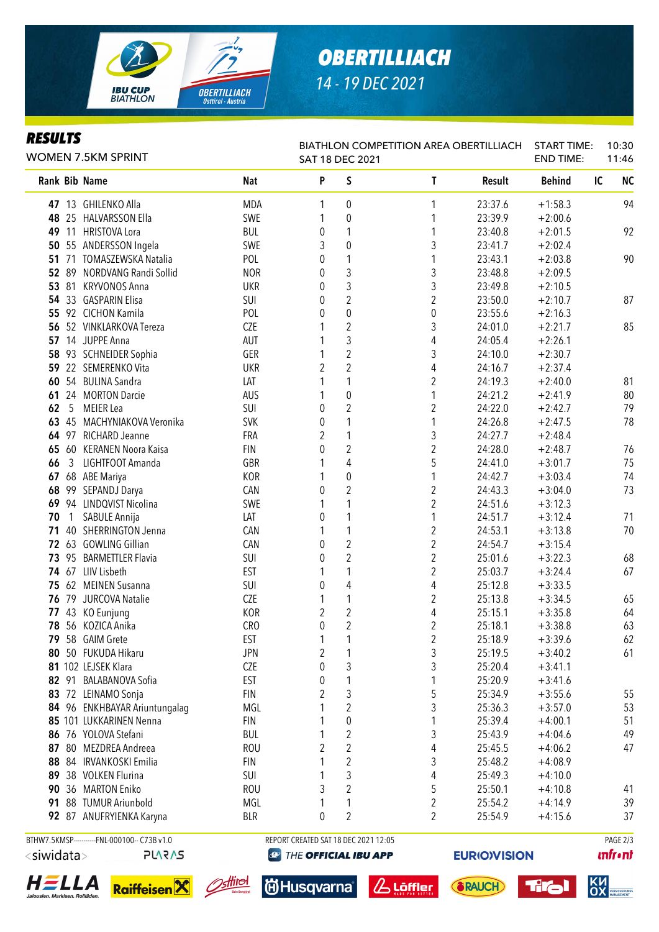

# *OBERTILLIACH 14 - 19 DEC 2021*

#### *RESULTS*

| ILLJVLI J<br>WOMEN 7.5KM SPRINT |    |                               |            | <b>BIATHLON COMPETITION AREA OBERTILLIACH</b><br>SAT 18 DEC 2021 |                         |                         |         | <b>START TIME:</b><br><b>END TIME:</b> |    | 10:30<br>11:46 |  |
|---------------------------------|----|-------------------------------|------------|------------------------------------------------------------------|-------------------------|-------------------------|---------|----------------------------------------|----|----------------|--|
|                                 |    | Rank Bib Name                 | <b>Nat</b> | P                                                                | S                       | $\mathsf{T}$            | Result  | <b>Behind</b>                          | IC | <b>NC</b>      |  |
|                                 |    | 47 13 GHILENKO Alla           | <b>MDA</b> | 1                                                                | 0                       | 1                       | 23:37.6 | $+1:58.3$                              |    | 94             |  |
| 48                              |    | 25 HALVARSSON Ella            | SWE        | 1                                                                | $\boldsymbol{0}$        | 1                       | 23:39.9 | $+2:00.6$                              |    |                |  |
| 49                              | 11 | <b>HRISTOVA Lora</b>          | <b>BUL</b> | 0                                                                | 1                       | 1                       | 23:40.8 | $+2:01.5$                              |    | 92             |  |
| 50                              |    | 55 ANDERSSON Ingela           | SWE        | 3                                                                | $\boldsymbol{0}$        | 3                       | 23:41.7 | $+2:02.4$                              |    |                |  |
|                                 |    | 51 71 TOMASZEWSKA Natalia     | POL        | 0                                                                | 1                       | 1                       | 23:43.1 | $+2:03.8$                              |    | 90             |  |
|                                 |    | 52 89 NORDVANG Randi Sollid   | <b>NOR</b> | 0                                                                | 3                       | 3                       | 23:48.8 | $+2:09.5$                              |    |                |  |
| 53                              | 81 | <b>KRYVONOS Anna</b>          | <b>UKR</b> | 0                                                                | 3                       | 3                       | 23:49.8 | $+2:10.5$                              |    |                |  |
|                                 |    | 54 33 GASPARIN Elisa          | SUI        | 0                                                                | $\overline{2}$          | $\overline{2}$          | 23:50.0 | $+2:10.7$                              |    | 87             |  |
| 55                              |    | 92 CICHON Kamila              | POL        | 0                                                                | 0                       | $\boldsymbol{0}$        | 23:55.6 | $+2:16.3$                              |    |                |  |
| 56                              |    | 52 VINKLARKOVA Tereza         | <b>CZE</b> |                                                                  | $\overline{c}$          | 3                       | 24:01.0 | $+2:21.7$                              |    | 85             |  |
| 57                              |    | 14 JUPPE Anna                 | <b>AUT</b> |                                                                  | 3                       | 4                       | 24:05.4 | $+2:26.1$                              |    |                |  |
| 58                              |    | 93 SCHNEIDER Sophia           | GER        |                                                                  | $\overline{2}$          | 3                       | 24:10.0 | $+2:30.7$                              |    |                |  |
| 59                              |    | 22 SEMERENKO Vita             | <b>UKR</b> | $\overline{2}$                                                   | $\overline{2}$          | 4                       | 24:16.7 | $+2:37.4$                              |    |                |  |
| 60                              |    | 54 BULINA Sandra              | LAT        | 1                                                                | 1                       | $\overline{c}$          | 24:19.3 | $+2:40.0$                              |    | 81             |  |
| 61                              |    | 24 MORTON Darcie              | AUS        | 1                                                                | $\mathbf 0$             | 1                       | 24:21.2 | $+2:41.9$                              |    | 80             |  |
| 62                              | 5  | <b>MEIER</b> Lea              | SUI        | 0                                                                | $\overline{c}$          | $\overline{c}$          | 24:22.0 | $+2:42.7$                              |    | 79             |  |
| 63                              | 45 | MACHYNIAKOVA Veronika         | <b>SVK</b> | 0                                                                | 1                       | 1                       | 24:26.8 | $+2:47.5$                              |    | 78             |  |
|                                 |    | 64 97 RICHARD Jeanne          | FRA        | $\overline{2}$                                                   |                         | 3                       | 24:27.7 | $+2:48.4$                              |    |                |  |
|                                 |    | 65 60 KERANEN Noora Kaisa     | <b>FIN</b> | $\mathbf{0}$                                                     | $\overline{2}$          | $\overline{2}$          | 24:28.0 | $+2:48.7$                              |    | 76             |  |
| 66                              | 3  | LIGHTFOOT Amanda              | GBR        |                                                                  | 4                       | 5                       | 24:41.0 | $+3:01.7$                              |    | 75             |  |
|                                 |    | 67 68 ABE Mariya              | <b>KOR</b> |                                                                  | 0                       |                         | 24:42.7 | $+3:03.4$                              |    | 74             |  |
| 68                              |    | 99 SEPANDJ Darya              | CAN        | 0                                                                | $\overline{c}$          | 2                       | 24:43.3 | $+3:04.0$                              |    | 73             |  |
| 69                              |    | 94 LINDQVIST Nicolina         | SWE        | 1                                                                | 1                       | $\overline{c}$          | 24:51.6 | $+3:12.3$                              |    |                |  |
| 70                              | 1  | SABULE Annija                 | LAT        | 0                                                                | 1                       | 1                       | 24:51.7 | $+3:12.4$                              |    | 71             |  |
| 71                              |    | 40 SHERRINGTON Jenna          | CAN        | 1                                                                | 1                       | $\boldsymbol{2}$        | 24:53.1 | $+3:13.8$                              |    | 70             |  |
|                                 |    | 72 63 GOWLING Gillian         | CAN        | 0                                                                | $\overline{\mathbf{c}}$ | $\overline{\mathbf{c}}$ | 24:54.7 | $+3:15.4$                              |    |                |  |
| 73                              |    | 95 BARMETTLER Flavia          | SUI        | 0                                                                | $\overline{2}$          | $\overline{c}$          | 25:01.6 | $+3:22.3$                              |    | 68             |  |
|                                 |    | 74 67 LIIV Lisbeth            | <b>EST</b> | 1                                                                | 1                       | $\overline{c}$          | 25:03.7 | $+3:24.4$                              |    | 67             |  |
|                                 |    | 75 62 MEINEN Susanna          | SUI        | 0                                                                | 4                       | 4                       | 25:12.8 | $+3:33.5$                              |    |                |  |
|                                 |    | 76 79 JURCOVA Natalie         | <b>CZE</b> | 1                                                                | $\mathbf 1$             | $\boldsymbol{2}$        | 25:13.8 | $+3:34.5$                              |    | 65             |  |
|                                 |    | 77 43 KO Eunjung              | KOR        | $\boldsymbol{2}$                                                 | $\overline{c}$          | 4                       | 25:15.1 | $+3:35.8$                              |    | 64             |  |
|                                 |    | 78 56 KOZICA Anika            | CRO        | 0                                                                | $\overline{c}$          | $\overline{2}$          | 25:18.1 | $+3:38.8$                              |    | 63             |  |
|                                 |    | 79 58 GAIM Grete              | EST        |                                                                  | $\overline{ }$          | $\overline{\mathbf{c}}$ | 25:18.9 | $+3:39.6$                              |    | 62             |  |
| 80                              |    | 50 FUKUDA Hikaru              | <b>JPN</b> | $\boldsymbol{2}$                                                 | 1                       | 3                       | 25:19.5 | $+3:40.2$                              |    | 61             |  |
|                                 |    | 81 102 LEJSEK Klara           | <b>CZE</b> | 0                                                                | 3                       | 3                       | 25:20.4 | $+3:41.1$                              |    |                |  |
|                                 |    | 82 91 BALABANOVA Sofia        | EST        | 0                                                                | 1                       | 1                       | 25:20.9 | $+3:41.6$                              |    |                |  |
|                                 |    | 83 72 LEINAMO Sonja           | <b>FIN</b> | 2                                                                | 3                       | 5                       | 25:34.9 | $+3:55.6$                              |    | 55             |  |
|                                 |    | 84 96 ENKHBAYAR Ariuntungalag | MGL        | 1                                                                | 2                       | 3                       | 25:36.3 | $+3:57.0$                              |    | 53             |  |
|                                 |    | 85 101 LUKKARINEN Nenna       | <b>FIN</b> |                                                                  | 0                       | 1                       | 25:39.4 | $+4:00.1$                              |    | 51             |  |
| 86                              |    | 76 YOLOVA Stefani             | <b>BUL</b> | 1                                                                | 2                       | 3                       | 25:43.9 | $+4:04.6$                              |    | 49             |  |
| 87                              |    | 80 MEZDREA Andreea            | <b>ROU</b> | 2                                                                | 2                       | 4                       | 25:45.5 | $+4:06.2$                              |    | 47             |  |
| 88                              |    | 84 IRVANKOSKI Emilia          | <b>FIN</b> |                                                                  | 2                       | 3                       | 25:48.2 | $+4:08.9$                              |    |                |  |
| 89                              |    | 38 VOLKEN Flurina             | SUI        | 1                                                                | 3                       | 4                       | 25:49.3 | $+4:10.0$                              |    |                |  |
| 90                              |    | 36 MARTON Eniko               | <b>ROU</b> | 3                                                                | 2                       | 5                       | 25:50.1 | $+4:10.8$                              |    | 41             |  |
| 91                              |    | 88 TUMUR Ariunbold            | MGL        | 1                                                                | 1                       | $\boldsymbol{2}$        | 25:54.2 | $+4:14.9$                              |    | 39             |  |
|                                 |    | 92 87 ANUFRYIENKA Karyna      | <b>BLR</b> | 0                                                                | 2                       | 2                       | 25:54.9 | $+4:15.6$                              |    | 37             |  |
|                                 |    |                               |            |                                                                  |                         |                         |         |                                        |    |                |  |

BTHW7.5KMSP----------FNL-000100-- C73B v1.0 REPORT CREATED SAT 18 DEC 2021 12:05 REPORT CREATED SAT 18 DEC 2021 12:05 <siwidata>

**PLARAS** 





<u>ztlitol</u>

**@ THE OFFICIAL IBU APP** 

**id**Husqvarna®

*& Löffler* 

**EURIO)VISION** 

**unfront**